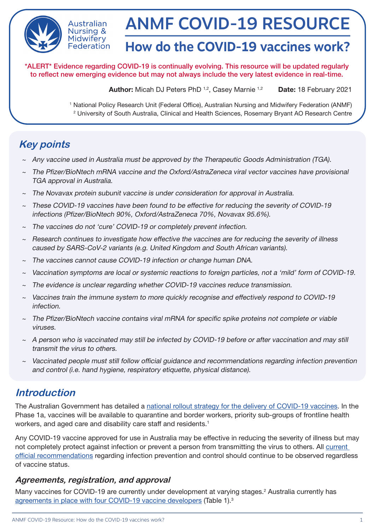

Australian **Nursing &** Midwiferv Federation

# ANMF COVID-19 RESOURCE

# **How do the COVID-19 vaccines work?**

\*ALERT\* Evidence regarding COVID-19 is continually evolving. This resource will be updated regularly to reflect new emerging evidence but may not always include the very latest evidence in real-time.

Author: Micah DJ Peters PhD<sup>1,2</sup>, Casey Marnie<sup>1,2</sup> Date: 18 February 2021

1 National Policy Research Unit (Federal Office), Australian Nursing and Midwifery Federation (ANMF) 2 University of South Australia, Clinical and Health Sciences, Rosemary Bryant AO Research Centre

# **Key points**

- ~ Any vaccine used in Australia must be approved by the Therapeutic Goods Administration (TGA).
- The Pfizer/BioNtech mRNA vaccine and the Oxford/AstraZeneca viral vector vaccines have provisional TGA approval in Australia.
- The Novavax protein subunit vaccine is under consideration for approval in Australia.
- These COVID-19 vaccines have been found to be effective for reducing the severity of COVID-19 infections (Pfizer/BioNtech 90%, Oxford/AstraZeneca 70%, Novavax 95.6%).
- The vaccines do not 'cure' COVID-19 or completely prevent infection.
- $\sim$  Research continues to investigate how effective the vaccines are for reducing the severity of illness caused by SARS-CoV-2 variants (e.g. United Kingdom and South African variants).
- The vaccines cannot cause COVID-19 infection or change human DNA.
- ~ Vaccination symptoms are local or systemic reactions to foreign particles, not a 'mild' form of COVID-19.
- The evidence is unclear regarding whether COVID-19 vaccines reduce transmission.
- ~ Vaccines train the immune system to more quickly recognise and effectively respond to COVID-19 infection.
- The Pfizer/BioNtech vaccine contains viral mRNA for specific spike proteins not complete or viable viruses.
- $\sim$  A person who is vaccinated may still be infected by COVID-19 before or after vaccination and may still transmit the virus to others.
- Vaccinated people must still follow official guidance and recommendations regarding infection prevention and control (i.e. hand hygiene, respiratory etiquette, physical distance).

# **Introduction**

The Australian Government has detailed a [national rollout strategy for the delivery of COVID-19 vaccines.](https://www.health.gov.au/initiatives-and-programs/covid-19-vaccines/getting-vaccinated-for-covid-19/who-will-get-the-vaccines#covid19-vaccine-national-rollout-phases) In the Phase 1a, vaccines will be available to quarantine and border workers, priority sub-groups of frontline health workers, and aged care and disability care staff and residents.<sup>1</sup>

Any COVID-19 vaccine approved for use in Australia may be effective in reducing the severity of illness but may not completely protect against infection or prevent a person from transmitting the virus to others. All [current](https://www.health.gov.au/news/health-alerts/novel-coronavirus-2019-ncov-health-alert/how-to-protect-yourself-and-others-from-coronavirus-covid-19)  [official recommendations](https://www.health.gov.au/news/health-alerts/novel-coronavirus-2019-ncov-health-alert/how-to-protect-yourself-and-others-from-coronavirus-covid-19) regarding infection prevention and control should continue to be observed regardless of vaccine status.

## **Agreements, registration, and approval**

Many vaccines for COVID-19 are currently under development at varying stages.<sup>2</sup> Australia currently has [agreements in place with four COVID-19 vaccine developers](https://www.health.gov.au/initiatives-and-programs/covid-19-vaccines/about-covid-19-vaccines/australias-vaccine-agreements#pfizerbiontech) (Table 1).<sup>3</sup>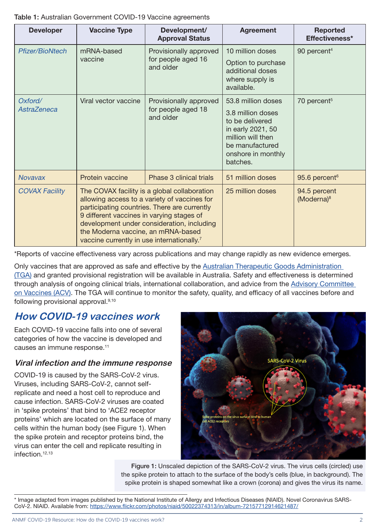#### Table 1: Australian Government COVID-19 Vaccine agreements

| <b>Developer</b>              | <b>Vaccine Type</b>                                                                                                                                                                                                                                                                                                                     | Development/<br><b>Approval Status</b>                    | <b>Agreement</b>                                                                                                                                          | <b>Reported</b><br>Effectiveness*      |
|-------------------------------|-----------------------------------------------------------------------------------------------------------------------------------------------------------------------------------------------------------------------------------------------------------------------------------------------------------------------------------------|-----------------------------------------------------------|-----------------------------------------------------------------------------------------------------------------------------------------------------------|----------------------------------------|
| <b>Pfizer/BioNtech</b>        | mRNA-based<br>vaccine                                                                                                                                                                                                                                                                                                                   | Provisionally approved<br>for people aged 16<br>and older | 10 million doses<br>Option to purchase<br>additional doses<br>where supply is<br>available.                                                               | 90 percent <sup>4</sup>                |
| Oxford/<br><b>AstraZeneca</b> | Viral vector vaccine                                                                                                                                                                                                                                                                                                                    | Provisionally approved<br>for people aged 18<br>and older | 53.8 million doses<br>3.8 million doses<br>to be delivered<br>in early 2021, 50<br>million will then<br>be manufactured<br>onshore in monthly<br>batches. | 70 percent <sup>5</sup>                |
| <b>Novavax</b>                | Protein vaccine                                                                                                                                                                                                                                                                                                                         | Phase 3 clinical trials                                   | 51 million doses                                                                                                                                          | 95.6 percent <sup>6</sup>              |
| <b>COVAX Facility</b>         | The COVAX facility is a global collaboration<br>allowing access to a variety of vaccines for<br>participating countries. There are currently<br>9 different vaccines in varying stages of<br>development under consideration, including<br>the Moderna vaccine, an mRNA-based<br>vaccine currently in use internationally. <sup>7</sup> |                                                           | 25 million doses                                                                                                                                          | 94.5 percent<br>(Moderna) <sup>8</sup> |

\*Reports of vaccine effectiveness vary across publications and may change rapidly as new evidence emerges.

Only vaccines that are approved as safe and effective by the [Australian Therapeutic Goods Administration](https://www.tga.gov.au/covid-19-vaccines)  [\(TGA\)](https://www.tga.gov.au/covid-19-vaccines) and granted provisional registration will be available in Australia. Safety and effectiveness is determined through analysis of ongoing clinical trials, international collaboration, and advice from the [Advisory Committee](https://www.tga.gov.au/committee/advisory-committee-vaccines-acv)  [on Vaccines \(ACV\).](https://www.tga.gov.au/committee/advisory-committee-vaccines-acv) The TGA will continue to monitor the safety, quality, and efficacy of all vaccines before and following provisional approval.9,10

# **How COVID-19 vaccines work**

Each COVID-19 vaccine falls into one of several categories of how the vaccine is developed and causes an immune response.<sup>11</sup>

## **Viral infection and the immune response**

COVID-19 is caused by the SARS-CoV-2 virus. Viruses, including SARS-CoV-2, cannot selfreplicate and need a host cell to reproduce and cause infection. SARS-CoV-2 viruses are coated in 'spike proteins' that bind to 'ACE2 receptor proteins' which are located on the surface of many cells within the human body (see Figure 1). When the spike protein and receptor proteins bind, the virus can enter the cell and replicate resulting in infection.12,13

> Figure 1: Unscaled depiction of the SARS-CoV-2 virus. The virus cells (circled) use the spike protein to attach to the surface of the body's cells (blue, in background). The spike protein is shaped somewhat like a crown (corona) and gives the virus its name.



<sup>\*</sup> Image adapted from images published by the National Institute of Allergy and Infectious Diseases (NIAID). Novel Coronavirus SARS-CoV-2. NIAID. Available from:<https://www.flickr.com/photos/niaid/50022374313/in/album-72157712914621487/>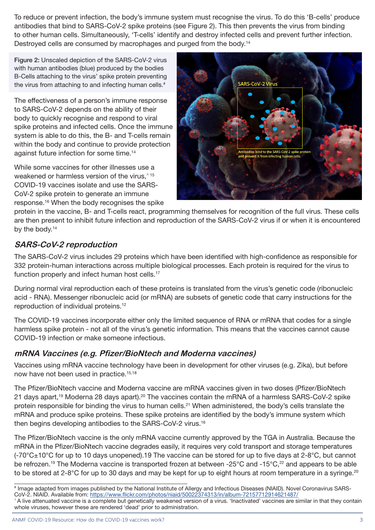To reduce or prevent infection, the body's immune system must recognise the virus. To do this 'B-cells' produce antibodies that bind to SARS-CoV-2 spike proteins (see Figure 2). This then prevents the virus from binding to other human cells. Simultaneously, 'T-cells' identify and destroy infected cells and prevent further infection. Destroyed cells are consumed by macrophages and purged from the body.<sup>14</sup>

Figure 2: Unscaled depiction of the SARS-CoV-2 virus with human antibodies (blue) produced by the bodies B-Cells attaching to the virus' spike protein preventing the virus from attaching to and infecting human cells.<sup>#</sup>

The effectiveness of a person's immune response to SARS-CoV-2 depends on the ability of their body to quickly recognise and respond to viral spike proteins and infected cells. Once the immune system is able to do this, the B- and T-cells remain within the body and continue to provide protection against future infection for some time.14

While some vaccines for other illnesses use a weakened or harmless version of the virus.<sup>^15</sup> COVID-19 vaccines isolate and use the SARS-CoV-2 spike protein to generate an immune response.16 When the body recognises the spike



protein in the vaccine, B- and T-cells react, programming themselves for recognition of the full virus. These cells are then present to inhibit future infection and reproduction of the SARS-CoV-2 virus if or when it is encountered by the body.<sup>14</sup>

## **SARS-CoV-2 reproduction**

The SARS-CoV-2 virus includes 29 proteins which have been identified with high-confidence as responsible for 332 protein-human interactions across multiple biological processes. Each protein is required for the virus to function properly and infect human host cells.<sup>17</sup>

During normal viral reproduction each of these proteins is translated from the virus's genetic code (ribonucleic acid - RNA). Messenger ribonucleic acid (or mRNA) are subsets of genetic code that carry instructions for the reproduction of individual proteins.12

The COVID-19 vaccines incorporate either only the limited sequence of RNA or mRNA that codes for a single harmless spike protein - not all of the virus's genetic information. This means that the vaccines cannot cause COVID-19 infection or make someone infectious.

## **mRNA Vaccines (e.g. Pfizer/BioNtech and Moderna vaccines)**

Vaccines using mRNA vaccine technology have been in development for other viruses (e.g. Zika), but before now have not been used in practice.<sup>15,18</sup>

The Pfizer/BioNtech vaccine and Moderna vaccine are mRNA vaccines given in two doses (Pfizer/BioNtech 21 days apart,<sup>19</sup> Moderna 28 days apart).<sup>20</sup> The vaccines contain the mRNA of a harmless SARS-CoV-2 spike protein responsible for binding the virus to human cells.<sup>21</sup> When administered, the body's cells translate the mRNA and produce spike proteins. These spike proteins are identified by the body's immune system which then begins developing antibodies to the SARS-CoV-2 virus.16

The Pfizer/BioNtech vaccine is the only mRNA vaccine currently approved by the TGA in Australia. Because the mRNA in the Pfizer/BioNtech vaccine degrades easily, it requires very cold transport and storage temperatures (-70°C±10°C for up to 10 days unopened).19 The vaccine can be stored for up to five days at 2-8°C, but cannot be refrozen.<sup>19</sup> The Moderna vaccine is transported frozen at between -25°C and -15°C,<sup>22</sup> and appears to be able to be stored at 2-8°C for up to 30 days and may be kept for up to eight hours at room temperature in a syringe.<sup>20</sup>

<sup>#</sup> Image adapted from images published by the National Institute of Allergy and Infectious Diseases (NIAID). Novel Coronavirus SARS-CoV-2. NIAID. Available from:<https://www.flickr.com/photos/niaid/50022374313/in/album-72157712914621487/>

<sup>^</sup> A live attenuated vaccine is a complete but genetically weakened version of a virus. 'Inactivated' vaccines are similar in that they contain whole viruses, however these are rendered 'dead' prior to administration.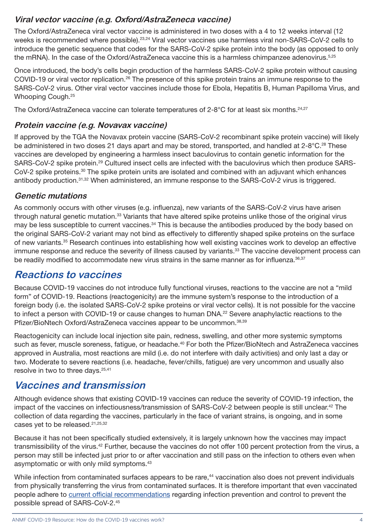## **Viral vector vaccine (e.g. Oxford/AstraZeneca vaccine)**

The Oxford/AstraZeneca viral vector vaccine is administered in two doses with a 4 to 12 weeks interval (12 weeks is recommended where possible).<sup>23,24</sup> Viral vector vaccines use harmless viral non-SARS-CoV-2 cells to introduce the genetic sequence that codes for the SARS-CoV-2 spike protein into the body (as opposed to only the mRNA). In the case of the Oxford/AstraZeneca vaccine this is a harmless chimpanzee adenovirus.<sup>5,25</sup>

Once introduced, the body's cells begin production of the harmless SARS-CoV-2 spike protein without causing COVID-19 or viral vector replication.<sup>26</sup> The presence of this spike protein trains an immune response to the SARS-CoV-2 virus. Other viral vector vaccines include those for Ebola, Hepatitis B, Human Papilloma Virus, and Whooping Cough.25

The Oxford/AstraZeneca vaccine can tolerate temperatures of  $2-8^{\circ}$ C for at least six months.<sup>24,27</sup>

## **Protein vaccine (e.g. Novavax vaccine)**

If approved by the TGA the Novavax protein vaccine (SARS-CoV-2 recombinant spike protein vaccine) will likely be administered in two doses 21 days apart and may be stored, transported, and handled at 2-8°C.<sup>28</sup> These vaccines are developed by engineering a harmless insect baculovirus to contain genetic information for the SARS-CoV-2 spike protein.29 Cultured insect cells are infected with the baculovirus which then produce SARS-CoV-2 spike proteins.30 The spike protein units are isolated and combined with an adjuvant which enhances antibody production.31,32 When administered, an immune response to the SARS-CoV-2 virus is triggered.

#### **Genetic mutations**

As commonly occurs with other viruses (e.g. influenza), new variants of the SARS-CoV-2 virus have arisen through natural genetic mutation.<sup>33</sup> Variants that have altered spike proteins unlike those of the original virus may be less susceptible to current vaccines.<sup>34</sup> This is because the antibodies produced by the body based on the original SARS-CoV-2 variant may not bind as effectively to differently shaped spike proteins on the surface of new variants.35 Research continues into establishing how well existing vaccines work to develop an effective immune response and reduce the severity of illness caused by variants.<sup>33</sup> The vaccine development process can be readily modified to accommodate new virus strains in the same manner as for influenza.<sup>36,37</sup>

# **Reactions to vaccines**

Because COVID-19 vaccines do not introduce fully functional viruses, reactions to the vaccine are not a "mild form" of COVID-19. Reactions (reactogenicity) are the immune system's response to the introduction of a foreign body (i.e. the isolated SARS-CoV-2 spike proteins or viral vector cells). It is not possible for the vaccine to infect a person with COVID-19 or cause changes to human DNA.<sup>22</sup> Severe anaphylactic reactions to the Pfizer/BioNtech Oxford/AstraZeneca vaccines appear to be uncommon.38,39

Reactogenicity can include local injection site pain, redness, swelling, and other more systemic symptoms such as fever, muscle soreness, fatigue, or headache.<sup>40</sup> For both the Pfizer/BioNtech and AstraZeneca vaccines approved in Australia, most reactions are mild (i.e. do not interfere with daily activities) and only last a day or two. Moderate to severe reactions (i.e. headache, fever/chills, fatigue) are very uncommon and usually also resolve in two to three days.25,41

# **Vaccines and transmission**

Although evidence shows that existing COVID-19 vaccines can reduce the severity of COVID-19 infection, the impact of the vaccines on infectiousness/transmission of SARS-CoV-2 between people is still unclear.<sup>42</sup> The collection of data regarding the vaccines, particularly in the face of variant strains, is ongoing, and in some cases yet to be released.<sup>21,25,32</sup>

Because it has not been specifically studied extensively, it is largely unknown how the vaccines may impact transmissibility of the virus.42 Further, because the vaccines do not offer 100 percent protection from the virus, a person may still be infected just prior to or after vaccination and still pass on the infection to others even when asymptomatic or with only mild symptoms.43

While infection from contaminated surfaces appears to be rare,<sup>44</sup> vaccination also does not prevent individuals from physically transferring the virus from contaminated surfaces. It is therefore important that even vaccinated people adhere to [current official recommendations](https://www.health.gov.au/news/health-alerts/novel-coronavirus-2019-ncov-health-alert/how-to-protect-yourself-and-others-from-coronavirus-covid-19) regarding infection prevention and control to prevent the possible spread of SARS-CoV-2.45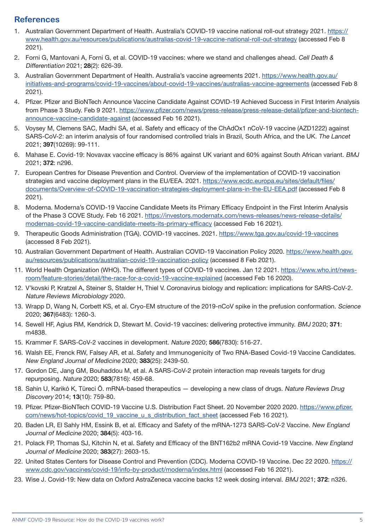#### **References**

- 1. Australian Government Department of Health. Australia's COVID-19 vaccine national roll-out strategy 2021. [https://](https://www.health.gov.au/resources/publications/australias-covid-19-vaccine-national-roll-out-strategy) [www.health.gov.au/resources/publications/australias-covid-19-vaccine-national-roll-out-strategy](https://www.health.gov.au/resources/publications/australias-covid-19-vaccine-national-roll-out-strategy) (accessed Feb 8 2021).
- 2. Forni G, Mantovani A, Forni G, et al. COVID-19 vaccines: where we stand and challenges ahead. Cell Death & Differentiation 2021; 28(2): 626-39.
- 3. Australian Government Department of Health. Australia's vaccine agreements 2021. [https://www.health.gov.au/](https://www.health.gov.au/initiatives-and-programs/covid-19-vaccines/about-covid-19-vaccines/australias-vaccine-agreements) [initiatives-and-programs/covid-19-vaccines/about-covid-19-vaccines/australias-vaccine-agreements](https://www.health.gov.au/initiatives-and-programs/covid-19-vaccines/about-covid-19-vaccines/australias-vaccine-agreements) (accessed Feb 8 2021).
- 4. Pfizer. Pfizer and BioNTech Announce Vaccine Candidate Against COVID-19 Achieved Success in First Interim Analysis from Phase 3 Study. Feb 9 2021. [https://www.pfizer.com/news/press-release/press-release-detail/pfizer-and-biontech](https://www.pfizer.com/news/press-release/press-release-detail/pfizer-and-biontech-announce-vaccine-candidate-against)[announce-vaccine-candidate-against](https://www.pfizer.com/news/press-release/press-release-detail/pfizer-and-biontech-announce-vaccine-candidate-against) (accessed Feb 16 2021).
- 5. Voysey M, Clemens SAC, Madhi SA, et al. Safety and efficacy of the ChAdOx1 nCoV-19 vaccine (AZD1222) against SARS-CoV-2: an interim analysis of four randomised controlled trials in Brazil, South Africa, and the UK. The Lancet 2021; 397(10269): 99-111.
- 6. Mahase E. Covid-19: Novavax vaccine efficacy is 86% against UK variant and 60% against South African variant. BMJ 2021; 372: n296.
- 7. European Centres for Disease Prevention and Control. Overview of the implementation of COVID-19 vaccination strategies and vaccine deployment plans in the EU/EEA. 2021. [https://www.ecdc.europa.eu/sites/default/files/](https://www.ecdc.europa.eu/sites/default/files/documents/Overview-of-COVID-19-vaccination-strategies-deployment-plans-in-the-EU-EEA.pdf) [documents/Overview-of-COVID-19-vaccination-strategies-deployment-plans-in-the-EU-EEA.pdf](https://www.ecdc.europa.eu/sites/default/files/documents/Overview-of-COVID-19-vaccination-strategies-deployment-plans-in-the-EU-EEA.pdf) (accessed Feb 8 2021).
- 8. Moderna. Moderna's COVID-19 Vaccine Candidate Meets its Primary Efficacy Endpoint in the First Interim Analysis of the Phase 3 COVE Study. Feb 16 2021. [https://investors.modernatx.com/news-releases/news-release-details/](https://investors.modernatx.com/news-releases/news-release-details/modernas-covid-19-vaccine-candidate-meets-its-primary-efficacy) [modernas-covid-19-vaccine-candidate-meets-its-primary-efficacy](https://investors.modernatx.com/news-releases/news-release-details/modernas-covid-19-vaccine-candidate-meets-its-primary-efficacy) (accessed Feb 16 2021).
- 9. Therapeutic Goods Administration (TGA). COVID-19 vaccines. 2021. <https://www.tga.gov.au/covid-19-vaccines> (accessed 8 Feb 2021).
- 10. Australian Government Department of Health. Australian COVID-19 Vaccination Policy 2020. [https://www.health.gov.](https://www.health.gov.au/resources/publications/australian-covid-19-vaccination-policy) [au/resources/publications/australian-covid-19-vaccination-policy](https://www.health.gov.au/resources/publications/australian-covid-19-vaccination-policy) (accessed 8 Feb 2021).
- 11. World Health Organization (WHO). The different types of COVID-19 vaccines. Jan 12 2021. [https://www.who.int/news](https://www.who.int/news-room/feature-stories/detail/the-race-for-a-covid-19-vaccine-explained)[room/feature-stories/detail/the-race-for-a-covid-19-vaccine-explained](https://www.who.int/news-room/feature-stories/detail/the-race-for-a-covid-19-vaccine-explained) (accessed Feb 16 2020).
- 12. V'kovski P, Kratzel A, Steiner S, Stalder H, Thiel V. Coronavirus biology and replication: implications for SARS-CoV-2. Nature Reviews Microbiology 2020.
- 13. Wrapp D, Wang N, Corbett KS, et al. Cryo-EM structure of the 2019-nCoV spike in the prefusion conformation. Science 2020; 367(6483): 1260-3.
- 14. Sewell HF, Agius RM, Kendrick D, Stewart M. Covid-19 vaccines: delivering protective immunity. BMJ 2020; 371: m4838.
- 15. Krammer F. SARS-CoV-2 vaccines in development. Nature 2020; 586(7830): 516-27.
- 16. Walsh EE, Frenck RW, Falsey AR, et al. Safety and Immunogenicity of Two RNA-Based Covid-19 Vaccine Candidates. New England Journal of Medicine 2020; 383(25): 2439-50.
- 17. Gordon DE, Jang GM, Bouhaddou M, et al. A SARS-CoV-2 protein interaction map reveals targets for drug repurposing. Nature 2020; 583(7816): 459-68.
- 18. Sahin U, Karikó K, Türeci Ö. mRNA-based therapeutics developing a new class of drugs. Nature Reviews Drug Discovery 2014; 13(10): 759-80.
- 19. Pfizer. Pfizer-BioNTech COVID-19 Vaccine U.S. Distribution Fact Sheet. 20 November 2020 2020. [https://www.pfizer.](https://www.pfizer.com/news/hot-topics/covid_19_vaccine_u_s_distribution_fact_sheet) [com/news/hot-topics/covid\\_19\\_vaccine\\_u\\_s\\_distribution\\_fact\\_sheet](https://www.pfizer.com/news/hot-topics/covid_19_vaccine_u_s_distribution_fact_sheet) (accessed Feb 16 2021).
- 20. Baden LR, El Sahly HM, Essink B, et al. Efficacy and Safety of the mRNA-1273 SARS-CoV-2 Vaccine. New England Journal of Medicine 2020; 384(5): 403-16.
- 21. Polack FP, Thomas SJ, Kitchin N, et al. Safety and Efficacy of the BNT162b2 mRNA Covid-19 Vaccine. New England Journal of Medicine 2020; 383(27): 2603-15.
- 22. United States Centers for Disease Control and Prevention (CDC). Moderna COVID-19 Vaccine. Dec 22 2020. [https://](https://www.cdc.gov/vaccines/covid-19/info-by-product/moderna/index.html) [www.cdc.gov/vaccines/covid-19/info-by-product/moderna/index.html](https://www.cdc.gov/vaccines/covid-19/info-by-product/moderna/index.html) (accessed Feb 16 2021).
- 23. Wise J. Covid-19: New data on Oxford AstraZeneca vaccine backs 12 week dosing interval. BMJ 2021; 372: n326.